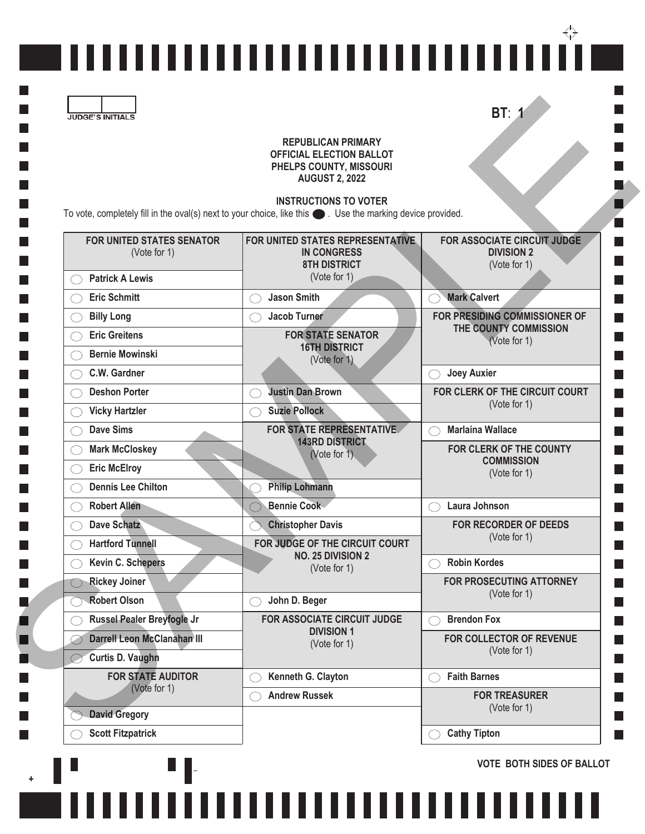|  | ,,,,,,,,,,,,,,,,,,,,,,,,,,,,,,,,,, |  |
|--|------------------------------------|--|

## **REPUBLICAN PRIMARY OFFICIAL ELECTION BALLOT PHELPS COUNTY, MISSOURI AUGUST 2, 2022**

## **INSTRUCTIONS TO VOTER**

 $\blacksquare$ 

L

 $\ddot{}$ 

|                             | <b>REPUBLICAN PRIMARY</b>                                                                                                                           |                                                  |  |
|-----------------------------|-----------------------------------------------------------------------------------------------------------------------------------------------------|--------------------------------------------------|--|
|                             | <b>OFFICIAL ELECTION BALLOT</b>                                                                                                                     |                                                  |  |
|                             | PHELPS COUNTY, MISSOURI<br><b>AUGUST 2, 2022</b>                                                                                                    |                                                  |  |
|                             |                                                                                                                                                     |                                                  |  |
|                             | <b>INSTRUCTIONS TO VOTER</b><br>To vote, completely fill in the oval(s) next to your choice, like this $\bullet$ . Use the marking device provided. |                                                  |  |
|                             |                                                                                                                                                     |                                                  |  |
| FOR UNITED STATES SENATOR   | FOR UNITED STATES REPRESENTATIVE.<br><b>IN CONGRESS</b>                                                                                             | FOR ASSOCIATE CIRCUIT JUDGE<br><b>DIVISION 2</b> |  |
| (Vote for 1)                | <b>8TH DISTRICT</b>                                                                                                                                 | (Vote for 1)                                     |  |
| <b>Patrick A Lewis</b>      | (Vote for 1)                                                                                                                                        |                                                  |  |
| <b>Eric Schmitt</b>         | <b>Jason Smith</b>                                                                                                                                  | <b>Mark Calvert</b>                              |  |
| <b>Billy Long</b>           | <b>Jacob Turner</b>                                                                                                                                 | FOR PRESIDING COMMISSIONER OF                    |  |
| <b>Eric Greitens</b>        | <b>FOR STATE SENATOR</b>                                                                                                                            | THE COUNTY COMMISSION<br>(Vote for 1)            |  |
| <b>Bernie Mowinski</b>      | <b>16TH DISTRICT</b><br>(Vote for 1)                                                                                                                |                                                  |  |
| C.W. Gardner                |                                                                                                                                                     | <b>Joey Auxier</b><br>( )                        |  |
| <b>Deshon Porter</b>        | <b>Justin Dan Brown</b>                                                                                                                             | FOR CLERK OF THE CIRCUIT COURT                   |  |
| <b>Vicky Hartzler</b>       | <b>Suzie Pollock</b>                                                                                                                                | (Vote for 1)                                     |  |
| <b>Dave Sims</b>            | <b>FOR STATE REPRESENTATIVE</b>                                                                                                                     | <b>Marlaina Wallace</b>                          |  |
| <b>Mark McCloskey</b>       | <b>143RD DISTRICT</b><br>(Vote for 1)                                                                                                               | FOR CLERK OF THE COUNTY                          |  |
| <b>Eric McElroy</b>         |                                                                                                                                                     | <b>COMMISSION</b><br>(Vote for 1)                |  |
| <b>Dennis Lee Chilton</b>   | <b>Philip Lohmann</b>                                                                                                                               |                                                  |  |
| <b>Robert Allen</b>         | <b>Bennie Cook</b>                                                                                                                                  | Laura Johnson                                    |  |
| <b>Dave Schatz</b>          | <b>Christopher Davis</b>                                                                                                                            | <b>FOR RECORDER OF DEEDS</b>                     |  |
| <b>Hartford Tunnell</b>     | FOR JUDGE OF THE CIRCUIT COURT                                                                                                                      | (Vote for 1)                                     |  |
| <b>Kevin C. Schepers</b>    | <b>NO. 25 DIVISION 2</b><br>(Vote for 1)                                                                                                            | <b>Robin Kordes</b>                              |  |
| <b>Rickey Joiner</b>        |                                                                                                                                                     | FOR PROSECUTING ATTORNEY                         |  |
| <b>Robert Olson</b>         | John D. Beger                                                                                                                                       | (Vote for 1)                                     |  |
| Russel Pealer Breyfogle Jr  | FOR ASSOCIATE CIRCUIT JUDGE                                                                                                                         | <b>Brendon Fox</b>                               |  |
| Darrell Leon McClanahan III | <b>DIVISION 1</b><br>(Vote for 1)                                                                                                                   | FOR COLLECTOR OF REVENUE                         |  |
| <b>Curtis D. Vaughn</b>     |                                                                                                                                                     | (Vote for 1)                                     |  |
| <b>FOR STATE AUDITOR</b>    | Kenneth G. Clayton                                                                                                                                  | <b>Faith Barnes</b>                              |  |
| (Vote for 1)                | <b>Andrew Russek</b>                                                                                                                                | <b>FOR TREASURER</b>                             |  |
|                             |                                                                                                                                                     | (Vote for 1)                                     |  |
| <b>David Gregory</b>        |                                                                                                                                                     |                                                  |  |

,,,,,,,,,,,,,,,,,,,,,,,,,,,,,,,

**VOTE BOTH SIDES OF BALLOT**

Ш